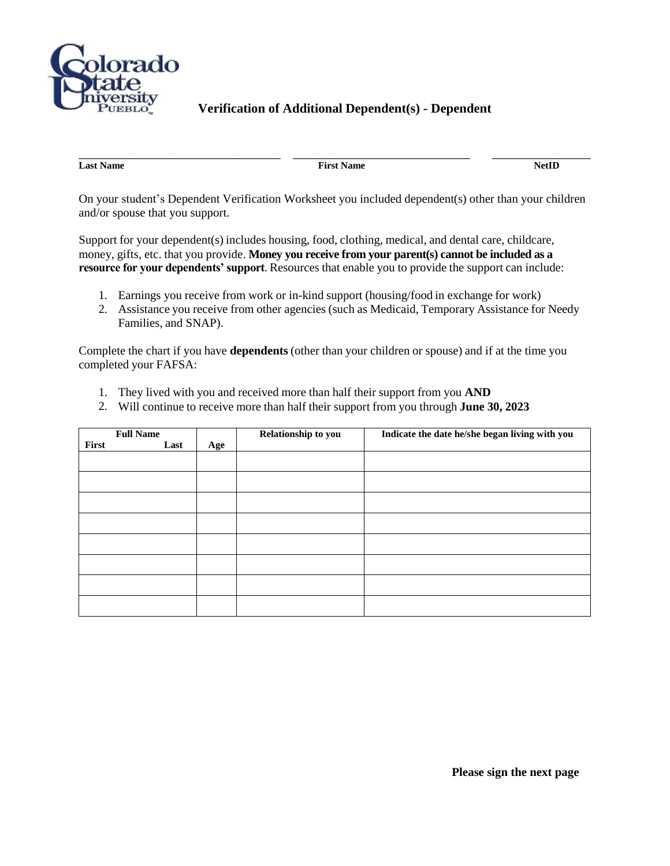

## **Verification of Additional Dependent(s) - Dependent**

**Last Name** NetID

**\_\_\_\_\_\_\_\_\_\_\_\_\_\_\_\_\_\_\_\_\_\_\_\_\_\_\_\_\_\_\_\_\_\_\_\_\_\_\_\_\_ \_\_\_\_\_\_\_\_\_\_\_\_\_\_\_\_\_\_\_\_\_\_\_\_\_\_\_\_\_\_\_\_\_\_\_\_ \_\_\_\_\_\_\_\_\_\_\_\_\_\_\_\_\_\_\_\_**

On your student's Dependent Verification Worksheet you included dependent(s) other than your children and/or spouse that you support.

Support for your dependent(s) includes housing, food, clothing, medical, and dental care, childcare, money, gifts, etc. that you provide. **Money you receive from your parent(s) cannot be included as a resource for your dependents' support**. Resources that enable you to provide the support can include:

- 1. Earnings you receive from work or in-kind support (housing/food in exchange for work)
- 2. Assistance you receive from other agencies (such as Medicaid, Temporary Assistance for Needy Families, and SNAP).

Complete the chart if you have **dependents** (other than your children or spouse) and if at the time you completed your FAFSA:

- 1. They lived with you and received more than half their support from you **AND**
- 2. Will continue to receive more than half their support from you through **June 30, 2023**

|       | <b>Full Name</b> |     | Relationship to you | Indicate the date he/she began living with you |
|-------|------------------|-----|---------------------|------------------------------------------------|
| First | Last             | Age |                     |                                                |
|       |                  |     |                     |                                                |
|       |                  |     |                     |                                                |
|       |                  |     |                     |                                                |
|       |                  |     |                     |                                                |
|       |                  |     |                     |                                                |
|       |                  |     |                     |                                                |
|       |                  |     |                     |                                                |
|       |                  |     |                     |                                                |
|       |                  |     |                     |                                                |